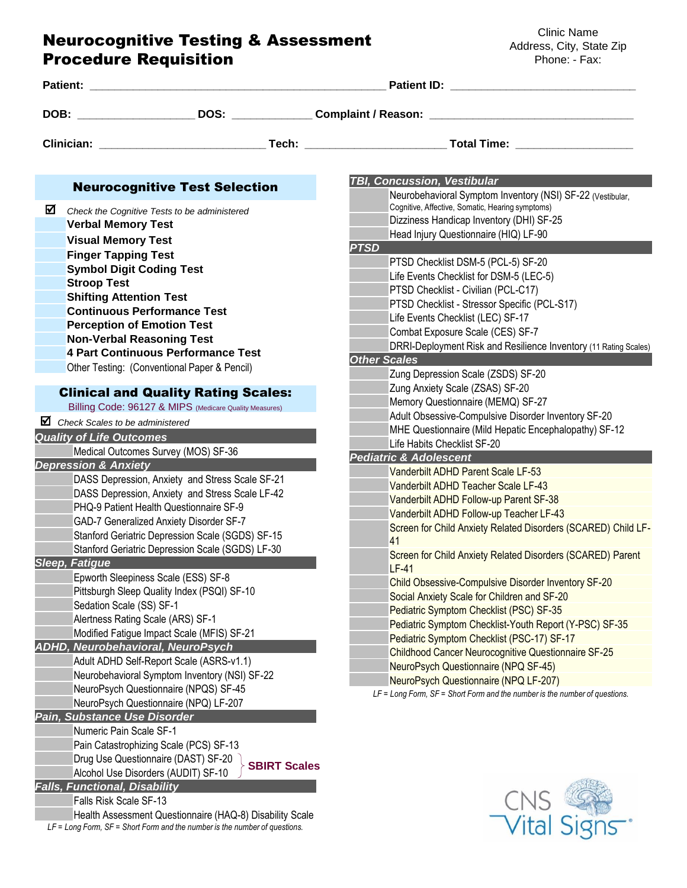## Neurocognitive Testing & Assessment Procedure Requisition

Clinic Name Address, City, State Zip Phone: - Fax:

| Patient: the contract of the contract of the contract of the contract of the contract of the contract of the contract of the contract of the contract of the contract of the contract of the contract of the contract of the c                                                                                                                                                                                                                            |                                                                                 | <b>Patient ID:</b> Patient ID:                                                                                                                                                                                                                                                                                                                                                                             |  |  |
|-----------------------------------------------------------------------------------------------------------------------------------------------------------------------------------------------------------------------------------------------------------------------------------------------------------------------------------------------------------------------------------------------------------------------------------------------------------|---------------------------------------------------------------------------------|------------------------------------------------------------------------------------------------------------------------------------------------------------------------------------------------------------------------------------------------------------------------------------------------------------------------------------------------------------------------------------------------------------|--|--|
|                                                                                                                                                                                                                                                                                                                                                                                                                                                           |                                                                                 | DOB: _______________________DOS: _______________Complaint / Reason: ________________________________                                                                                                                                                                                                                                                                                                       |  |  |
|                                                                                                                                                                                                                                                                                                                                                                                                                                                           |                                                                                 |                                                                                                                                                                                                                                                                                                                                                                                                            |  |  |
| <b>Neurocognitive Test Selection</b>                                                                                                                                                                                                                                                                                                                                                                                                                      |                                                                                 | <b>TBI, Concussion, Vestibular</b>                                                                                                                                                                                                                                                                                                                                                                         |  |  |
| ☑<br>Check the Cognitive Tests to be administered<br><b>Verbal Memory Test</b><br><b>Visual Memory Test</b><br><b>Finger Tapping Test</b>                                                                                                                                                                                                                                                                                                                 |                                                                                 | Neurobehavioral Symptom Inventory (NSI) SF-22 (Vestibular,<br>Cognitive, Affective, Somatic, Hearing symptoms)<br>Dizziness Handicap Inventory (DHI) SF-25<br>Head Injury Questionnaire (HIQ) LF-90<br><b>PTSD</b>                                                                                                                                                                                         |  |  |
| <b>Symbol Digit Coding Test</b><br><b>Stroop Test</b><br><b>Shifting Attention Test</b><br><b>Continuous Performance Test</b><br><b>Perception of Emotion Test</b><br><b>Non-Verbal Reasoning Test</b>                                                                                                                                                                                                                                                    |                                                                                 | PTSD Checklist DSM-5 (PCL-5) SF-20<br>Life Events Checklist for DSM-5 (LEC-5)<br>PTSD Checklist - Civilian (PCL-C17)<br>PTSD Checklist - Stressor Specific (PCL-S17)<br>Life Events Checklist (LEC) SF-17<br>Combat Exposure Scale (CES) SF-7                                                                                                                                                              |  |  |
| 4 Part Continuous Performance Test<br>Other Testing: (Conventional Paper & Pencil)<br><b>Clinical and Quality Rating Scales:</b>                                                                                                                                                                                                                                                                                                                          |                                                                                 | DRRI-Deployment Risk and Resilience Inventory (11 Rating Scales)<br><b>Other Scales</b><br>Zung Depression Scale (ZSDS) SF-20<br>Zung Anxiety Scale (ZSAS) SF-20                                                                                                                                                                                                                                           |  |  |
| Billing Code: 96127 & MIPS (Medicare Quality Measures)<br>$\blacksquare$ Check Scales to be administered<br><b>Quality of Life Outcomes</b><br>Medical Outcomes Survey (MOS) SF-36                                                                                                                                                                                                                                                                        |                                                                                 | Memory Questionnaire (MEMQ) SF-27<br>Adult Obsessive-Compulsive Disorder Inventory SF-20<br>MHE Questionnaire (Mild Hepatic Encephalopathy) SF-12<br>Life Habits Checklist SF-20                                                                                                                                                                                                                           |  |  |
| <b>Depression &amp; Anxiety</b><br>DASS Depression, Anxiety and Stress Scale SF-21<br>DASS Depression, Anxiety and Stress Scale LF-42<br>PHQ-9 Patient Health Questionnaire SF-9<br><b>GAD-7 Generalized Anxiety Disorder SF-7</b><br>Stanford Geriatric Depression Scale (SGDS) SF-15<br>Stanford Geriatric Depression Scale (SGDS) LF-30<br><b>Sleep, Fatigue</b><br>Epworth Sleepiness Scale (ESS) SF-8<br>Pittsburgh Sleep Quality Index (PSQI) SF-10 |                                                                                 | <b>Pediatric &amp; Adolescent</b><br>Vanderbilt ADHD Parent Scale LF-53<br>Vanderbilt ADHD Teacher Scale LF-43<br>Vanderbilt ADHD Follow-up Parent SF-38<br>Vanderbilt ADHD Follow-up Teacher LF-43<br>Screen for Child Anxiety Related Disorders (SCARED) Child LF-<br>41<br>Screen for Child Anxiety Related Disorders (SCARED) Parent<br>$LF-41$<br>Child Obsessive-Compulsive Disorder Inventory SF-20 |  |  |
| Sedation Scale (SS) SF-1<br>Alertness Rating Scale (ARS) SF-1<br>Modified Fatigue Impact Scale (MFIS) SF-21<br><b>ADHD, Neurobehavioral, NeuroPsych</b><br>Adult ADHD Self-Report Scale (ASRS-v1.1)<br>Neurobehavioral Symptom Inventory (NSI) SF-22                                                                                                                                                                                                      |                                                                                 | Social Anxiety Scale for Children and SF-20<br>Pediatric Symptom Checklist (PSC) SF-35<br>Pediatric Symptom Checklist-Youth Report (Y-PSC) SF-35<br>Pediatric Symptom Checklist (PSC-17) SF-17<br><b>Childhood Cancer Neurocognitive Questionnaire SF-25</b><br>NeuroPsych Questionnaire (NPQ SF-45)<br>NeuroPsych Questionnaire (NPQ LF-207)                                                              |  |  |
| NeuroPsych Questionnaire (NPQS) SF-45<br>NeuroPsych Questionnaire (NPQ) LF-207<br>Pain, Substance Use Disorder<br>Numeric Pain Scale SF-1<br>Pain Catastrophizing Scale (PCS) SF-13<br>Drug Use Questionnaire (DAST) SF-20<br>Alcohol Use Disorders (AUDIT) SF-10<br><b>Falls, Functional, Disability</b><br>Falls Risk Scale SF-13<br>LF = Long Form, SF = Short Form and the number is the number of questions.                                         | <b>SBIRT Scales</b><br>Health Assessment Questionnaire (HAQ-8) Disability Scale | LF = Long Form, SF = Short Form and the number is the number of questions.<br><b>CNS</b><br><b>Vital Signs</b>                                                                                                                                                                                                                                                                                             |  |  |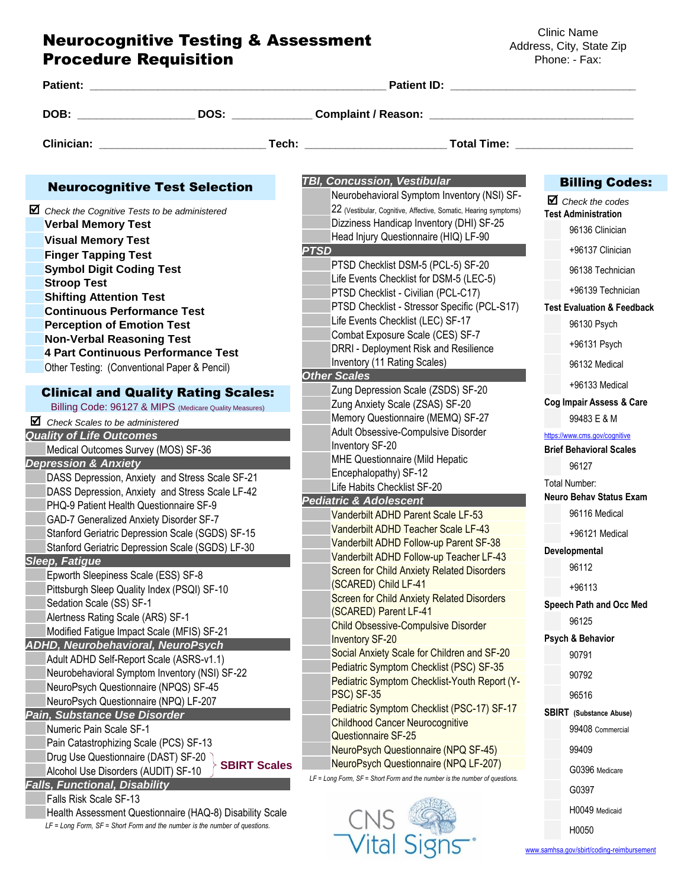## Neurocognitive Testing & Assessment Procedure Requisition

Clinic Name Address, City, State Zip Phone: - Fax:

| Patient: 2006 2007 2008 2009 2010 2010 2011 2012 2013 2014 2015 2016 2017 2018 2019 2019 2019 2019 2019 2019 20 |                                                                                                                                                                                                                                                                                                                                                                                                                                                                                                                                                                                                                                                                                                                                                                            |                                                                                                                                                                                                                                                                                                                                                                                                                                                                                                                                                                                                                                                                                                                                              |                                                                                                                                                                                                                                                                                                                                                                      |  |
|-----------------------------------------------------------------------------------------------------------------|----------------------------------------------------------------------------------------------------------------------------------------------------------------------------------------------------------------------------------------------------------------------------------------------------------------------------------------------------------------------------------------------------------------------------------------------------------------------------------------------------------------------------------------------------------------------------------------------------------------------------------------------------------------------------------------------------------------------------------------------------------------------------|----------------------------------------------------------------------------------------------------------------------------------------------------------------------------------------------------------------------------------------------------------------------------------------------------------------------------------------------------------------------------------------------------------------------------------------------------------------------------------------------------------------------------------------------------------------------------------------------------------------------------------------------------------------------------------------------------------------------------------------------|----------------------------------------------------------------------------------------------------------------------------------------------------------------------------------------------------------------------------------------------------------------------------------------------------------------------------------------------------------------------|--|
|                                                                                                                 |                                                                                                                                                                                                                                                                                                                                                                                                                                                                                                                                                                                                                                                                                                                                                                            | DOB: _______________________DOS: ________________Complaint / Reason: _______________________________                                                                                                                                                                                                                                                                                                                                                                                                                                                                                                                                                                                                                                         |                                                                                                                                                                                                                                                                                                                                                                      |  |
|                                                                                                                 |                                                                                                                                                                                                                                                                                                                                                                                                                                                                                                                                                                                                                                                                                                                                                                            |                                                                                                                                                                                                                                                                                                                                                                                                                                                                                                                                                                                                                                                                                                                                              |                                                                                                                                                                                                                                                                                                                                                                      |  |
|                                                                                                                 | <b>Neurocognitive Test Selection</b>                                                                                                                                                                                                                                                                                                                                                                                                                                                                                                                                                                                                                                                                                                                                       | <b>TBI, Concussion, Vestibular</b>                                                                                                                                                                                                                                                                                                                                                                                                                                                                                                                                                                                                                                                                                                           | <b>Billing Codes:</b>                                                                                                                                                                                                                                                                                                                                                |  |
| <b>Stroop Test</b>                                                                                              | $\blacksquare$ Check the Cognitive Tests to be administered<br><b>Verbal Memory Test</b><br><b>Visual Memory Test</b><br><b>Finger Tapping Test</b><br><b>Symbol Digit Coding Test</b><br><b>Shifting Attention Test</b><br><b>Continuous Performance Test</b><br><b>Perception of Emotion Test</b><br><b>Non-Verbal Reasoning Test</b><br>4 Part Continuous Performance Test<br>Other Testing: (Conventional Paper & Pencil)<br><b>Clinical and Quality Rating Scales:</b><br>Billing Code: 96127 & MIPS (Medicare Quality Measures)<br>$\blacksquare$ Check Scales to be administered<br><b>Quality of Life Outcomes</b><br>Medical Outcomes Survey (MOS) SF-36                                                                                                          | Neurobehavioral Symptom Inventory (NSI) SF-<br>22 (Vestibular, Cognitive, Affective, Somatic, Hearing symptoms)<br>Dizziness Handicap Inventory (DHI) SF-25<br>Head Injury Questionnaire (HIQ) LF-90<br><b>PTSD</b><br>PTSD Checklist DSM-5 (PCL-5) SF-20<br>Life Events Checklist for DSM-5 (LEC-5)<br>PTSD Checklist - Civilian (PCL-C17)<br>PTSD Checklist - Stressor Specific (PCL-S17)<br>Life Events Checklist (LEC) SF-17<br>Combat Exposure Scale (CES) SF-7<br>DRRI - Deployment Risk and Resilience<br>Inventory (11 Rating Scales)<br><b>Other Scales</b><br>Zung Depression Scale (ZSDS) SF-20<br>Zung Anxiety Scale (ZSAS) SF-20<br>Memory Questionnaire (MEMQ) SF-27<br>Adult Obsessive-Compulsive Disorder<br>Inventory SF-20 | $\mathbf \Xi$ Check the codes<br><b>Test Administration</b><br>96136 Clinician<br>+96137 Clinician<br>96138 Technician<br>+96139 Technician<br><b>Test Evaluation &amp; Feedback</b><br>96130 Psych<br>+96131 Psych<br>96132 Medical<br>+96133 Medical<br>Cog Impair Assess & Care<br>99483 E & M<br>https://www.cms.gov/cognitive<br><b>Brief Behavioral Scales</b> |  |
| <b>Sleep, Fatigue</b>                                                                                           | <b>Depression &amp; Anxiety</b><br>DASS Depression, Anxiety and Stress Scale SF-21<br>DASS Depression, Anxiety and Stress Scale LF-42<br>PHQ-9 Patient Health Questionnaire SF-9<br><b>GAD-7 Generalized Anxiety Disorder SF-7</b><br>Stanford Geriatric Depression Scale (SGDS) SF-15<br>Stanford Geriatric Depression Scale (SGDS) LF-30<br>Epworth Sleepiness Scale (ESS) SF-8<br>Pittsburgh Sleep Quality Index (PSQI) SF-10<br>Sedation Scale (SS) SF-1<br>Alertness Rating Scale (ARS) SF-1<br>Modified Fatigue Impact Scale (MFIS) SF-21<br><b>ADHD, Neurobehavioral, NeuroPsych</b><br>Adult ADHD Self-Report Scale (ASRS-v1.1)<br>Neurobehavioral Symptom Inventory (NSI) SF-22<br>NeuroPsych Questionnaire (NPQS) SF-45<br>NeuroPsych Questionnaire (NPQ) LF-207 | <b>MHE Questionnaire (Mild Hepatic</b><br>Encephalopathy) SF-12<br>Life Habits Checklist SF-20<br><b>Pediatric &amp; Adolescent</b><br>Vanderbilt ADHD Parent Scale LF-53<br>Vanderbilt ADHD Teacher Scale LF-43<br>Vanderbilt ADHD Follow-up Parent SF-38<br>Vanderbilt ADHD Follow-up Teacher LF-43<br><b>Screen for Child Anxiety Related Disorders</b><br>(SCARED) Child LF-41<br><b>Screen for Child Anxiety Related Disorders</b><br>(SCARED) Parent LF-41<br><b>Child Obsessive-Compulsive Disorder</b><br><b>Inventory SF-20</b><br>Social Anxiety Scale for Children and SF-20<br>Pediatric Symptom Checklist (PSC) SF-35<br>Pediatric Symptom Checklist-Youth Report (Y-<br>PSC) SF-35                                             | 96127<br>Total Number:<br><b>Neuro Behav Status Exam</b><br>96116 Medical<br>+96121 Medical<br>Developmental<br>96112<br>$+96113$<br>Speech Path and Occ Med<br>96125<br>Psych & Behavior<br>90791<br>90792<br>96516                                                                                                                                                 |  |
|                                                                                                                 | Pain, Substance Use Disorder<br>Numeric Pain Scale SF-1<br>Pain Catastrophizing Scale (PCS) SF-13<br>Drug Use Questionnaire (DAST) SF-20<br><b>SBIRT Scales</b><br>Alcohol Use Disorders (AUDIT) SF-10<br><b>Falls, Functional, Disability</b><br>Falls Risk Scale SF-13<br>Health Assessment Questionnaire (HAQ-8) Disability Scale<br>LF = Long Form, SF = Short Form and the number is the number of questions.                                                                                                                                                                                                                                                                                                                                                         | Pediatric Symptom Checklist (PSC-17) SF-17<br><b>Childhood Cancer Neurocognitive</b><br>Questionnaire SF-25<br>NeuroPsych Questionnaire (NPQ SF-45)<br>NeuroPsych Questionnaire (NPQ LF-207)<br>LF = Long Form, SF = Short Form and the number is the number of questions.<br>Vital                                                                                                                                                                                                                                                                                                                                                                                                                                                          | <b>SBIRT</b> (Substance Abuse)<br>99408 Commercial<br>99409<br>G0396 Medicare<br>G0397<br>H0049 Medicaid<br>H0050<br>www.samhsa.gov/sbirt/coding-reimbursement                                                                                                                                                                                                       |  |